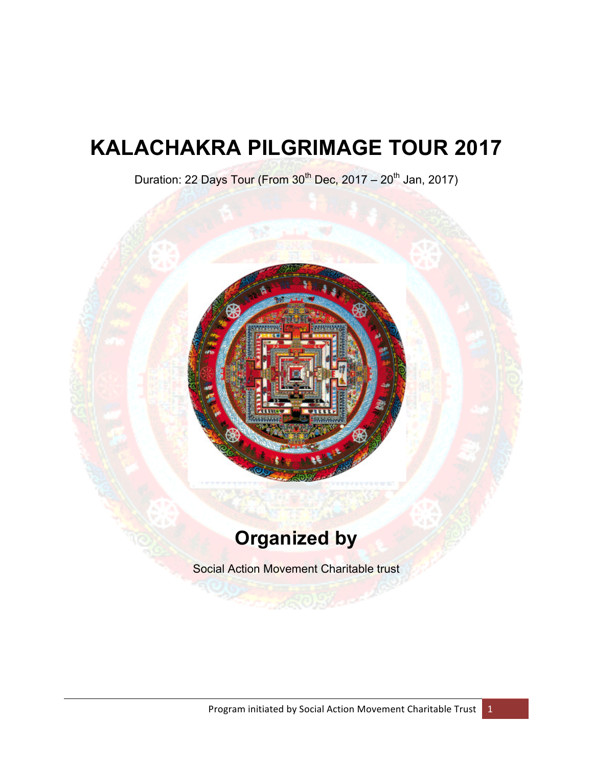# **KALACHAKRA PILGRIMAGE TOUR 2017**

Duration: 22 Days Tour (From  $30<sup>th</sup>$  Dec, 2017 – 20<sup>th</sup> Jan, 2017)



## **Organized by**

Social Action Movement Charitable trust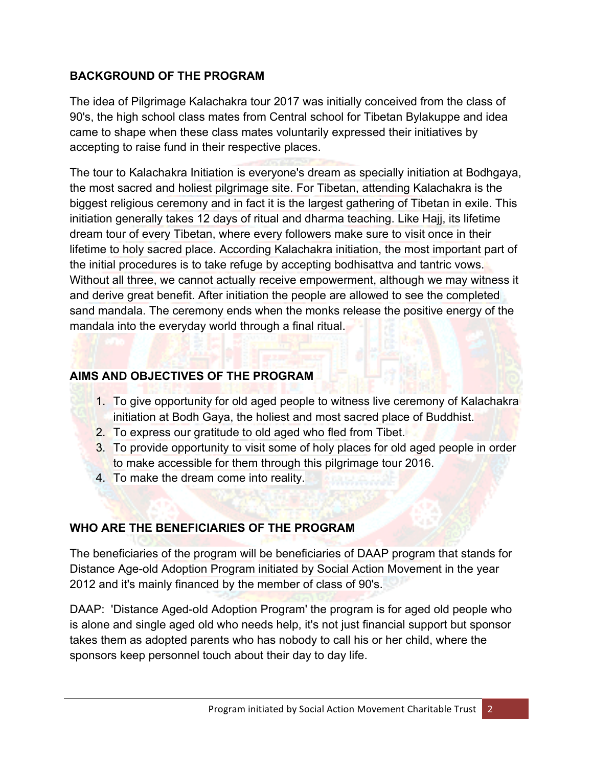## **BACKGROUND OF THE PROGRAM**

The idea of Pilgrimage Kalachakra tour 2017 was initially conceived from the class of 90's, the high school class mates from Central school for Tibetan Bylakuppe and idea came to shape when these class mates voluntarily expressed their initiatives by accepting to raise fund in their respective places.

The tour to Kalachakra Initiation is everyone's dream as specially initiation at Bodhgaya, the most sacred and holiest pilgrimage site. For Tibetan, attending Kalachakra is the biggest religious ceremony and in fact it is the largest gathering of Tibetan in exile. This initiation generally takes 12 days of ritual and dharma teaching. Like Hajj, its lifetime dream tour of every Tibetan, where every followers make sure to visit once in their lifetime to holy sacred place. According Kalachakra initiation, the most important part of the initial procedures is to take refuge by accepting bodhisattva and tantric vows. Without all three, we cannot actually receive empowerment, although we may witness it and derive great benefit. After initiation the people are allowed to see the completed sand mandala. The ceremony ends when the monks release the positive energy of the mandala into the everyday world through a final ritual.

## **AIMS AND OBJECTIVES OF THE PROGRAM**

- 1. To give opportunity for old aged people to witness live ceremony of Kalachakra initiation at Bodh Gaya, the holiest and most sacred place of Buddhist.
- 2. To express our gratitude to old aged who fled from Tibet.
- 3. To provide opportunity to visit some of holy places for old aged people in order to make accessible for them through this pilgrimage tour 2016.
- 4. To make the dream come into reality.

## **WHO ARE THE BENEFICIARIES OF THE PROGRAM**

The beneficiaries of the program will be beneficiaries of DAAP program that stands for Distance Age-old Adoption Program initiated by Social Action Movement in the year 2012 and it's mainly financed by the member of class of 90's.

DAAP: 'Distance Aged-old Adoption Program' the program is for aged old people who is alone and single aged old who needs help, it's not just financial support but sponsor takes them as adopted parents who has nobody to call his or her child, where the sponsors keep personnel touch about their day to day life.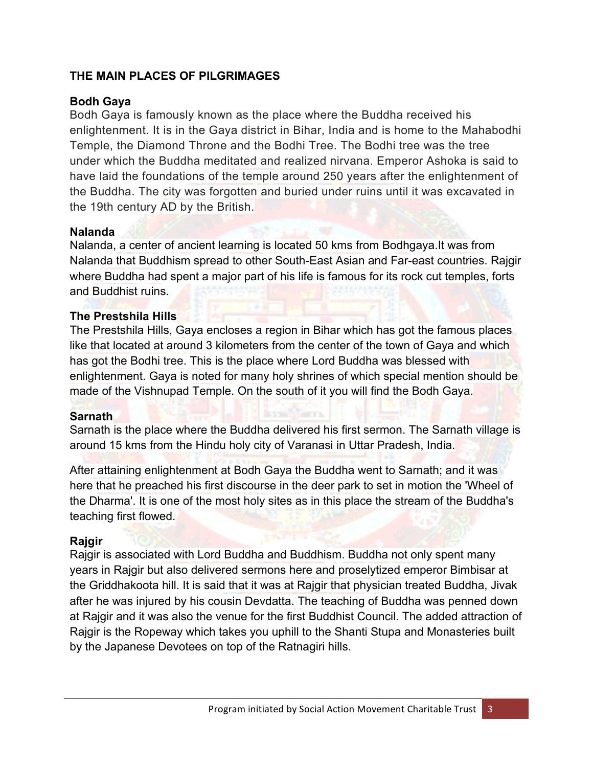## **THE MAIN PLACES OF PILGRIMAGES**

## **Bodh Gaya**

Bodh Gaya is famously known as the place where the Buddha received his enlightenment. It is in the Gaya district in Bihar, India and is home to the Mahabodhi Temple, the Diamond Throne and the Bodhi Tree. The Bodhi tree was the tree under which the Buddha meditated and realized nirvana. Emperor Ashoka is said to have laid the foundations of the temple around 250 years after the enlightenment of the Buddha. The city was forgotten and buried under ruins until it was excavated in the 19th century AD by the British.

#### **Nalanda**

Nalanda, a center of ancient learning is located 50 kms from Bodhgaya.It was from Nalanda that Buddhism spread to other South-East Asian and Far-east countries. Rajgir where Buddha had spent a major part of his life is famous for its rock cut temples, forts and Buddhist ruins.

#### **The Prestshila Hills**

The Prestshila Hills, Gaya encloses a region in Bihar which has got the famous places like that located at around 3 kilometers from the center of the town of Gaya and which has got the Bodhi tree. This is the place where Lord Buddha was blessed with enlightenment. Gaya is noted for many holy shrines of which special mention should be made of the Vishnupad Temple. On the south of it you will find the Bodh Gaya.

#### **Sarnath**

Sarnath is the place where the Buddha delivered his first sermon. The Sarnath village is around 15 kms from the Hindu holy city of Varanasi in Uttar Pradesh, India.

After attaining enlightenment at Bodh Gaya the Buddha went to Sarnath; and it was here that he preached his first discourse in the deer park to set in motion the 'Wheel of the Dharma'. It is one of the most holy sites as in this place the stream of the Buddha's teaching first flowed.

## **Rajgir**

Rajgir is associated with Lord Buddha and Buddhism. Buddha not only spent many years in Rajgir but also delivered sermons here and proselytized emperor Bimbisar at the Griddhakoota hill. It is said that it was at Rajgir that physician treated Buddha, Jivak after he was injured by his cousin Devdatta. The teaching of Buddha was penned down at Rajgir and it was also the venue for the first Buddhist Council. The added attraction of Rajgir is the Ropeway which takes you uphill to the Shanti Stupa and Monasteries built by the Japanese Devotees on top of the Ratnagiri hills.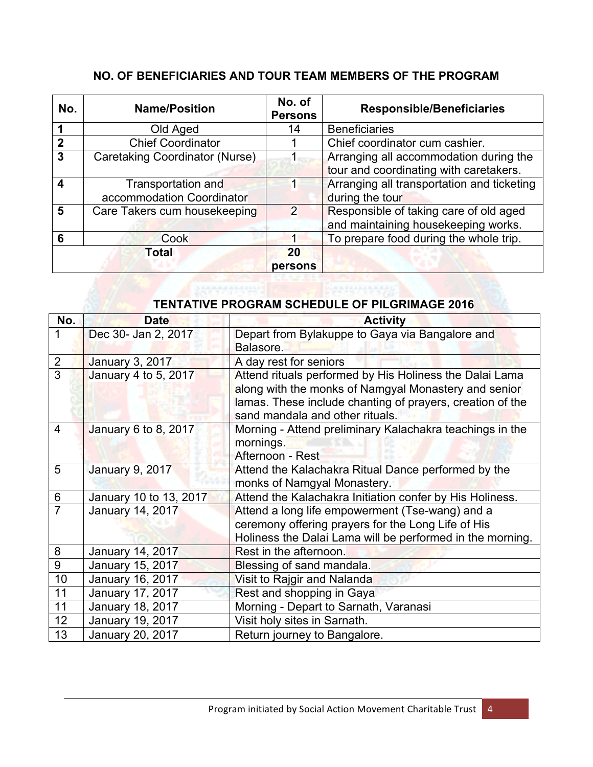## **NO. OF BENEFICIARIES AND TOUR TEAM MEMBERS OF THE PROGRAM**

| No.                     | <b>Name/Position</b>                            | No. of<br><b>Persons</b> | <b>Responsible/Beneficiaries</b>                                                 |  |  |
|-------------------------|-------------------------------------------------|--------------------------|----------------------------------------------------------------------------------|--|--|
|                         | Old Aged                                        | 14                       | <b>Beneficiaries</b>                                                             |  |  |
| $\overline{2}$          | <b>Chief Coordinator</b>                        |                          | Chief coordinator cum cashier.                                                   |  |  |
| $\overline{3}$          | Caretaking Coordinator (Nurse)                  |                          | Arranging all accommodation during the<br>tour and coordinating with caretakers. |  |  |
| $\overline{\mathbf{4}}$ | Transportation and<br>accommodation Coordinator |                          | Arranging all transportation and ticketing<br>during the tour                    |  |  |
| 5                       | Care Takers cum housekeeping                    | 2                        | Responsible of taking care of old aged<br>and maintaining housekeeping works.    |  |  |
| 6                       | Cook                                            |                          | To prepare food during the whole trip.                                           |  |  |
| Total                   |                                                 | 20<br>persons            |                                                                                  |  |  |

#### **TENTATIVE PROGRAM SCHEDULE OF PILGRIMAGE 2016**

| No.            | <b>Date</b>            | <b>Activity</b>                                                                                                                                                                                                 |
|----------------|------------------------|-----------------------------------------------------------------------------------------------------------------------------------------------------------------------------------------------------------------|
|                | Dec 30- Jan 2, 2017    | Depart from Bylakuppe to Gaya via Bangalore and<br>Balasore.                                                                                                                                                    |
| 2              | January 3, 2017        | A day rest for seniors                                                                                                                                                                                          |
| $\overline{3}$ | January 4 to 5, 2017   | Attend rituals performed by His Holiness the Dalai Lama<br>along with the monks of Namgyal Monastery and senior<br>lamas. These include chanting of prayers, creation of the<br>sand mandala and other rituals. |
| $\overline{4}$ | January 6 to 8, 2017   | Morning - Attend preliminary Kalachakra teachings in the<br>mornings.<br>Afternoon - Rest                                                                                                                       |
| 5              | January 9, 2017        | Attend the Kalachakra Ritual Dance performed by the<br>monks of Namgyal Monastery.                                                                                                                              |
| 6              | January 10 to 13, 2017 | Attend the Kalachakra Initiation confer by His Holiness.                                                                                                                                                        |
| $\overline{7}$ | January 14, 2017       | Attend a long life empowerment (Tse-wang) and a<br>ceremony offering prayers for the Long Life of His<br>Holiness the Dalai Lama will be performed in the morning.                                              |
| 8              | January 14, 2017       | Rest in the afternoon.                                                                                                                                                                                          |
| 9              | January 15, 2017       | Blessing of sand mandala.                                                                                                                                                                                       |
| 10             | January 16, 2017       | Visit to Rajgir and Nalanda                                                                                                                                                                                     |
| 11             | January 17, 2017       | Rest and shopping in Gaya                                                                                                                                                                                       |
| 11             | January 18, 2017       | Morning - Depart to Sarnath, Varanasi                                                                                                                                                                           |
| 12             | January 19, 2017       | Visit holy sites in Sarnath.                                                                                                                                                                                    |
| 13             | January 20, 2017       | Return journey to Bangalore.                                                                                                                                                                                    |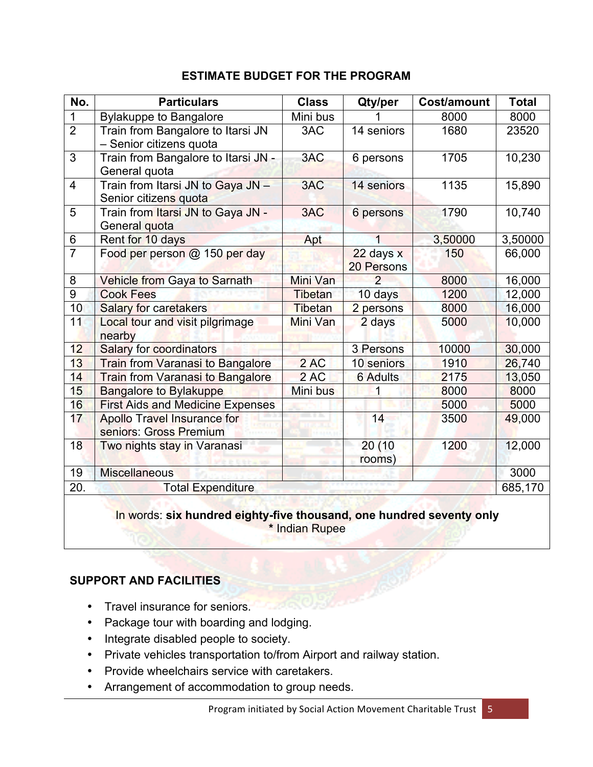## **ESTIMATE BUDGET FOR THE PROGRAM**

| No.            | <b>Particulars</b>                                         | <b>Class</b>   | Qty/per           | <b>Cost/amount</b> | <b>Total</b> |  |
|----------------|------------------------------------------------------------|----------------|-------------------|--------------------|--------------|--|
| $\mathbf 1$    | <b>Bylakuppe to Bangalore</b>                              | Mini bus       |                   | 8000               | 8000         |  |
| $\overline{2}$ | Train from Bangalore to Itarsi JN                          | 3AC            | 14 seniors        | 1680               | 23520        |  |
|                | - Senior citizens quota                                    |                |                   |                    |              |  |
| $\overline{3}$ | Train from Bangalore to Itarsi JN -                        | 3AC            | 6 persons         | 1705               | 10,230       |  |
|                | General quota                                              |                |                   |                    |              |  |
| $\overline{4}$ | Train from Itarsi JN to Gaya JN -<br>Senior citizens quota | 3AC            | 14 seniors        | 1135               | 15,890       |  |
| 5              | Train from Itarsi JN to Gaya JN -                          | 3AC            | 6 persons         | 1790               | 10,740       |  |
|                | General quota                                              |                |                   |                    |              |  |
| $\,6$          | Rent for 10 days                                           | Apt            | 1                 | 3,50000            | 3,50000      |  |
| $\overline{7}$ | Food per person @ 150 per day                              |                | 22 days x         | 150                | 66,000       |  |
|                |                                                            |                | 20 Persons        |                    |              |  |
| 8              | Vehicle from Gaya to Sarnath                               | Mini Van       | $\overline{2}$    | 8000               | 16,000       |  |
| $\overline{9}$ | <b>Cook Fees</b>                                           | Tibetan        | 10 days           | 1200               | 12,000       |  |
| 10             | <b>Salary for caretakers</b>                               | <b>Tibetan</b> | 2 persons         | 8000               | 16,000       |  |
| 11             | Local tour and visit pilgrimage                            | Mini Van       | 2 days            | 5000               | 10,000       |  |
|                | nearby                                                     |                |                   |                    |              |  |
| 12             | <b>Salary for coordinators</b>                             |                | 3 Persons         | 10000              | 30,000       |  |
| 13             | <b>Train from Varanasi to Bangalore</b>                    | 2AC            | <b>10 seniors</b> | 1910               | 26,740       |  |
| 14             | <b>Train from Varanasi to Bangalore</b>                    | 2AC            | <b>6 Adults</b>   | 2175               | 13,050       |  |
| 15             | <b>Bangalore to Bylakuppe</b>                              | Mini bus       | 1                 | 8000               | 8000         |  |
| 16             | <b>First Aids and Medicine Expenses</b>                    |                |                   | 5000               | 5000         |  |
| 17             | <b>Apollo Travel Insurance for</b>                         |                | 14                | 3500               | 49,000       |  |
|                | seniors: Gross Premium                                     |                |                   |                    |              |  |
| 18             | Two nights stay in Varanasi                                |                | 20(10)            | 1200               | 12,000       |  |
|                |                                                            |                | rooms)            |                    |              |  |
| 19             | <b>Miscellaneous</b>                                       |                |                   |                    | 3000         |  |
| 20.            | <b>Total Expenditure</b>                                   |                |                   |                    |              |  |
|                |                                                            |                |                   |                    |              |  |

## In words: **six hundred eighty-five thousand, one hundred seventy only \*** Indian Rupee

## **SUPPORT AND FACILITIES**

- Travel insurance for seniors.
- Package tour with boarding and lodging.
- Integrate disabled people to society.
- Private vehicles transportation to/from Airport and railway station.
- Provide wheelchairs service with caretakers.
- Arrangement of accommodation to group needs.